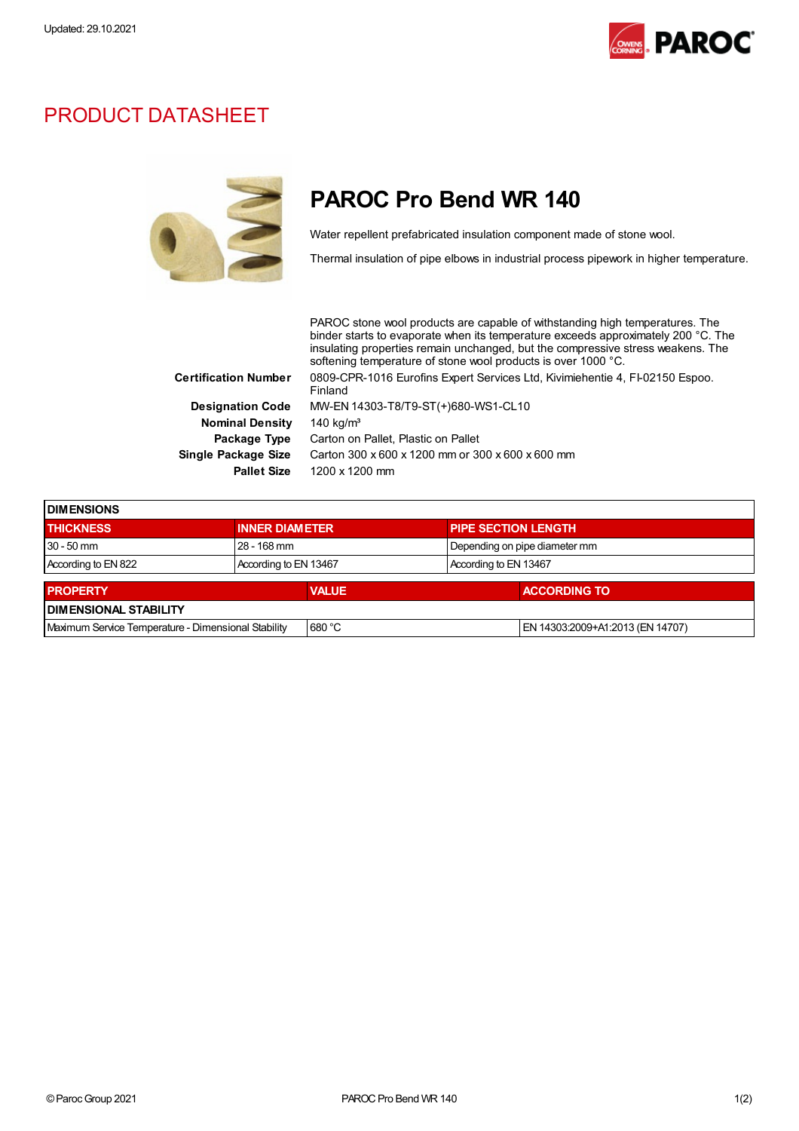

## PRODUCT DATASHEET



## PAROC Pro Bend WR 140

Water repellent prefabricated insulation component made of stone wool.

Thermal insulation of pipe elbows in industrial process pipework in higher temperature.

|                             | PAROC stone wool products are capable of withstanding high temperatures. The<br>binder starts to evaporate when its temperature exceeds approximately 200 °C. The<br>insulating properties remain unchanged, but the compressive stress weakens. The<br>softening temperature of stone wool products is over 1000 °C. |  |  |
|-----------------------------|-----------------------------------------------------------------------------------------------------------------------------------------------------------------------------------------------------------------------------------------------------------------------------------------------------------------------|--|--|
| <b>Certification Number</b> | 0809-CPR-1016 Eurofins Expert Services Ltd, Kivimiehentie 4, FI-02150 Espoo.<br>Finland                                                                                                                                                                                                                               |  |  |
| <b>Designation Code</b>     | MW-EN 14303-T8/T9-ST(+)680-WS1-CL10                                                                                                                                                                                                                                                                                   |  |  |
| <b>Nominal Density</b>      | 140 kg/ $m3$                                                                                                                                                                                                                                                                                                          |  |  |
| Package Type                | Carton on Pallet, Plastic on Pallet                                                                                                                                                                                                                                                                                   |  |  |
| Single Package Size         | Carton 300 x 600 x 1200 mm or 300 x 600 x 600 mm                                                                                                                                                                                                                                                                      |  |  |
| <b>Pallet Size</b>          | 1200 x 1200 mm                                                                                                                                                                                                                                                                                                        |  |  |

| <b>IDIMENSIONS</b>                                  |                       |              |                               |                            |                                  |  |  |
|-----------------------------------------------------|-----------------------|--------------|-------------------------------|----------------------------|----------------------------------|--|--|
| <b>THICKNESS</b>                                    | <b>INNER DIAMETER</b> |              |                               | <b>PIPE SECTION LENGTH</b> |                                  |  |  |
| $30 - 50$ mm                                        | 28 - 168 mm           |              | Depending on pipe diameter mm |                            |                                  |  |  |
| According to EN 822                                 | According to EN 13467 |              |                               | According to EN 13467      |                                  |  |  |
|                                                     |                       |              |                               |                            |                                  |  |  |
| <b>PROPERTY</b>                                     |                       | <b>VALUE</b> |                               |                            | <b>ACCORDING TO</b>              |  |  |
| <b>DIMENSIONAL STABILITY</b>                        |                       |              |                               |                            |                                  |  |  |
| Maximum Service Temperature - Dimensional Stability |                       | 680 °C       |                               |                            | EN 14303:2009+A1:2013 (EN 14707) |  |  |